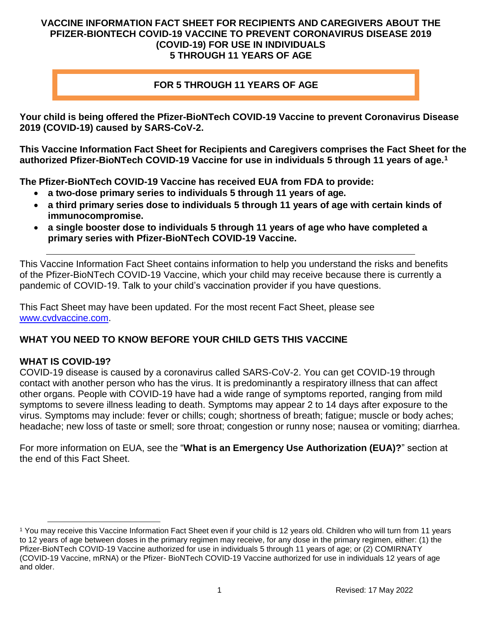#### **VACCINE INFORMATION FACT SHEET FOR RECIPIENTS AND CAREGIVERS ABOUT THE PFIZER-BIONTECH COVID-19 VACCINE TO PREVENT CORONAVIRUS DISEASE 2019 (COVID-19) FOR USE IN INDIVIDUALS 5 THROUGH 11 YEARS OF AGE**

#### **FOR 5 THROUGH 11 YEARS OF AGE**

**Your child is being offered the Pfizer-BioNTech COVID-19 Vaccine to prevent Coronavirus Disease 2019 (COVID-19) caused by SARS-CoV-2.**

**This Vaccine Information Fact Sheet for Recipients and Caregivers comprises the Fact Sheet for the authorized Pfizer-BioNTech COVID-19 Vaccine for use in individuals 5 through 11 years of age.[1](#page-0-0)**

**The Pfizer-BioNTech COVID-19 Vaccine has received EUA from FDA to provide:**

- **a two-dose primary series to individuals 5 through 11 years of age.**
- **a third primary series dose to individuals 5 through 11 years of age with certain kinds of immunocompromise.**
- **a single booster dose to individuals 5 through 11 years of age who have completed a primary series with Pfizer-BioNTech COVID-19 Vaccine.**

This Vaccine Information Fact Sheet contains information to help you understand the risks and benefits of the Pfizer-BioNTech COVID-19 Vaccine, which your child may receive because there is currently a pandemic of COVID-19. Talk to your child's vaccination provider if you have questions.

This Fact Sheet may have been updated. For the most recent Fact Sheet, please see [www.cvdvaccine.com.](http://www.cvdvaccine.com/)

### **WHAT YOU NEED TO KNOW BEFORE YOUR CHILD GETS THIS VACCINE**

#### **WHAT IS COVID-19?**

COVID-19 disease is caused by a coronavirus called SARS-CoV-2. You can get COVID-19 through contact with another person who has the virus. It is predominantly a respiratory illness that can affect other organs. People with COVID-19 have had a wide range of symptoms reported, ranging from mild symptoms to severe illness leading to death. Symptoms may appear 2 to 14 days after exposure to the virus. Symptoms may include: fever or chills; cough; shortness of breath; fatigue; muscle or body aches; headache; new loss of taste or smell; sore throat; congestion or runny nose; nausea or vomiting; diarrhea.

For more information on EUA, see the "**What is an Emergency Use Authorization (EUA)?**" section at the end of this Fact Sheet.

<span id="page-0-0"></span><sup>1</sup> You may receive this Vaccine Information Fact Sheet even if your child is 12 years old. Children who will turn from 11 years to 12 years of age between doses in the primary regimen may receive, for any dose in the primary regimen, either: (1) the Pfizer-BioNTech COVID-19 Vaccine authorized for use in individuals 5 through 11 years of age; or (2) COMIRNATY (COVID-19 Vaccine, mRNA) or the Pfizer- BioNTech COVID-19 Vaccine authorized for use in individuals 12 years of age and older.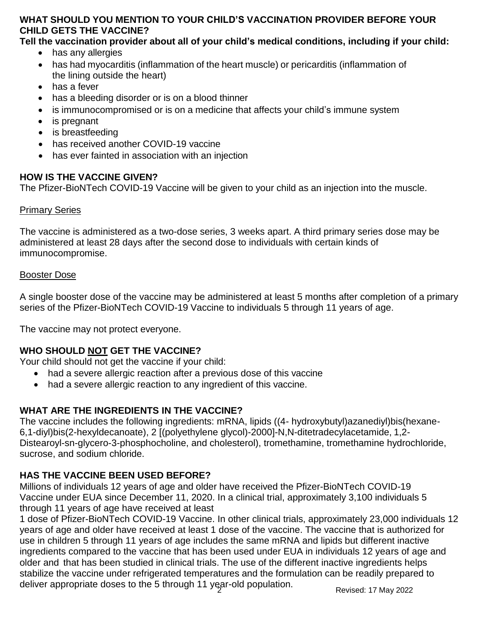#### **WHAT SHOULD YOU MENTION TO YOUR CHILD'S VACCINATION PROVIDER BEFORE YOUR CHILD GETS THE VACCINE?**

### **Tell the vaccination provider about all of your child's medical conditions, including if your child:**

- has any allergies
- has had myocarditis (inflammation of the heart muscle) or pericarditis (inflammation of the lining outside the heart)
- has a fever
- has a bleeding disorder or is on a blood thinner
- is immunocompromised or is on a medicine that affects your child's immune system
- is pregnant
- is breastfeeding
- has received another COVID-19 vaccine
- has ever fainted in association with an injection

#### **HOW IS THE VACCINE GIVEN?**

The Pfizer-BioNTech COVID-19 Vaccine will be given to your child as an injection into the muscle.

#### Primary Series

The vaccine is administered as a two-dose series, 3 weeks apart. A third primary series dose may be administered at least 28 days after the second dose to individuals with certain kinds of immunocompromise.

#### Booster Dose

A single booster dose of the vaccine may be administered at least 5 months after completion of a primary series of the Pfizer-BioNTech COVID-19 Vaccine to individuals 5 through 11 years of age.

The vaccine may not protect everyone.

### **WHO SHOULD NOT GET THE VACCINE?**

Your child should not get the vaccine if your child:

- had a severe allergic reaction after a previous dose of this vaccine
- had a severe allergic reaction to any ingredient of this vaccine.

### **WHAT ARE THE INGREDIENTS IN THE VACCINE?**

The vaccine includes the following ingredients: mRNA, lipids ((4- hydroxybutyl)azanediyl)bis(hexane-6,1-diyl)bis(2-hexyldecanoate), 2 [(polyethylene glycol)-2000]-N,N-ditetradecylacetamide, 1,2- Distearoyl-sn-glycero-3-phosphocholine, and cholesterol), tromethamine, tromethamine hydrochloride, sucrose, and sodium chloride.

### **HAS THE VACCINE BEEN USED BEFORE?**

Millions of individuals 12 years of age and older have received the Pfizer-BioNTech COVID-19 Vaccine under EUA since December 11, 2020. In a clinical trial, approximately 3,100 individuals 5 through 11 years of age have received at least

1 dose of Pfizer-BioNTech COVID-19 Vaccine. In other clinical trials, approximately 23,000 individuals 12 years of age and older have received at least 1 dose of the vaccine. The vaccine that is authorized for use in children 5 through 11 years of age includes the same mRNA and lipids but different inactive ingredients compared to the vaccine that has been used under EUA in individuals 12 years of age and older and that has been studied in clinical trials. The use of the different inactive ingredients helps stabilize the vaccine under refrigerated temperatures and the formulation can be readily prepared to deliver appropriate doses to the 5 through 11 year-old population.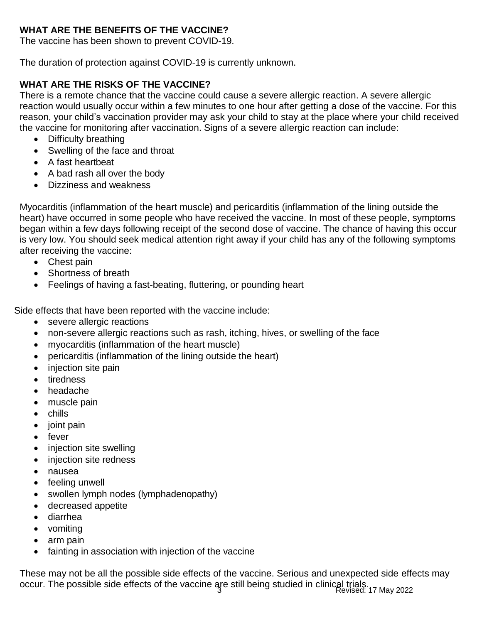## **WHAT ARE THE BENEFITS OF THE VACCINE?**

The vaccine has been shown to prevent COVID-19.

The duration of protection against COVID-19 is currently unknown.

## **WHAT ARE THE RISKS OF THE VACCINE?**

There is a remote chance that the vaccine could cause a severe allergic reaction. A severe allergic reaction would usually occur within a few minutes to one hour after getting a dose of the vaccine. For this reason, your child's vaccination provider may ask your child to stay at the place where your child received the vaccine for monitoring after vaccination. Signs of a severe allergic reaction can include:

- Difficulty breathing
- Swelling of the face and throat
- A fast heartbeat
- A bad rash all over the body
- Dizziness and weakness

Myocarditis (inflammation of the heart muscle) and pericarditis (inflammation of the lining outside the heart) have occurred in some people who have received the vaccine. In most of these people, symptoms began within a few days following receipt of the second dose of vaccine. The chance of having this occur is very low. You should seek medical attention right away if your child has any of the following symptoms after receiving the vaccine:

- Chest pain
- Shortness of breath
- Feelings of having a fast-beating, fluttering, or pounding heart

Side effects that have been reported with the vaccine include:

- severe allergic reactions
- non-severe allergic reactions such as rash, itching, hives, or swelling of the face
- myocarditis (inflammation of the heart muscle)
- pericarditis (inflammation of the lining outside the heart)
- injection site pain
- tiredness
- headache
- muscle pain
- chills
- joint pain
- fever
- injection site swelling
- injection site redness
- nausea
- feeling unwell
- swollen lymph nodes (lymphadenopathy)
- decreased appetite
- diarrhea
- vomiting
- arm pain
- fainting in association with injection of the vaccine

occur. The possible side effects of the vaccine are still being studied in clinical trials.<br>Revised: 17 May 2022 These may not be all the possible side effects of the vaccine. Serious and unexpected side effects may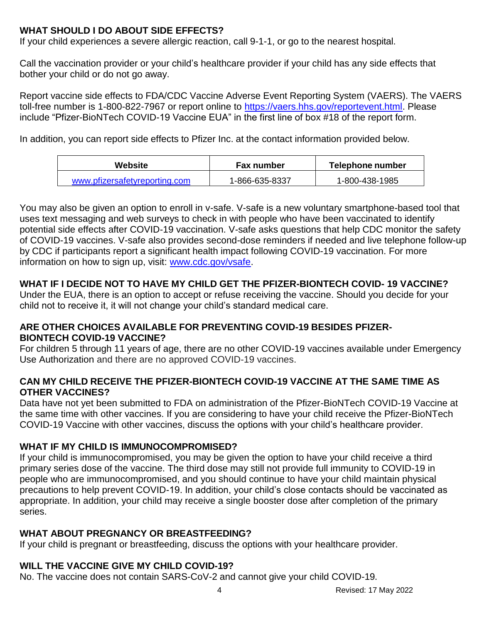# **WHAT SHOULD I DO ABOUT SIDE EFFECTS?**

If your child experiences a severe allergic reaction, call 9-1-1, or go to the nearest hospital.

Call the vaccination provider or your child's healthcare provider if your child has any side effects that bother your child or do not go away.

Report vaccine side effects to FDA/CDC Vaccine Adverse Event Reporting System (VAERS). The VAERS toll-free number is 1-800-822-7967 or report online to [https://vaers.hhs.gov/reportevent.html.](https://vaers.hhs.gov/reportevent.html) Please include "Pfizer-BioNTech COVID-19 Vaccine EUA" in the first line of box #18 of the report form.

In addition, you can report side effects to Pfizer Inc. at the contact information provided below.

| Website                       | <b>Fax number</b> | Telephone number |
|-------------------------------|-------------------|------------------|
| www.pfizersafetyreporting.com | 1-866-635-8337    | 1-800-438-1985   |

You may also be given an option to enroll in v-safe. V-safe is a new voluntary smartphone-based tool that uses text messaging and web surveys to check in with people who have been vaccinated to identify potential side effects after COVID-19 vaccination. V-safe asks questions that help CDC monitor the safety of COVID-19 vaccines. V-safe also provides second-dose reminders if needed and live telephone follow-up by CDC if participants report a significant health impact following COVID-19 vaccination. For more information on how to sign up, visit: [www.cdc.gov/vsafe.](https://urldefense.proofpoint.com/v2/url?u=http-3A__www.cdc.gov_vsafe&d=DwMF-g&c=UE1eNsedaKncO0Yl_u8bfw&r=iggimxFo1bnCoTNHtFHht7zBjWLmMD5xyYOHusHEMRA&m=NUusRcDWxrAYwskpVPikFjIp1YMB1upPlqmEqHLqywo&s=ZgZDg3kpZyGQV82QCF-MKAMdQ9UDWQqf3K-6eMVizRE&e)

# **WHAT IF I DECIDE NOT TO HAVE MY CHILD GET THE PFIZER-BIONTECH COVID- 19 VACCINE?**

Under the EUA, there is an option to accept or refuse receiving the vaccine. Should you decide for your child not to receive it, it will not change your child's standard medical care.

### **ARE OTHER CHOICES AVAILABLE FOR PREVENTING COVID-19 BESIDES PFIZER-BIONTECH COVID-19 VACCINE?**

For children 5 through 11 years of age, there are no other COVID-19 vaccines available under Emergency Use Authorization and there are no approved COVID-19 vaccines.

### **CAN MY CHILD RECEIVE THE PFIZER-BIONTECH COVID-19 VACCINE AT THE SAME TIME AS OTHER VACCINES?**

Data have not yet been submitted to FDA on administration of the Pfizer-BioNTech COVID-19 Vaccine at the same time with other vaccines. If you are considering to have your child receive the Pfizer-BioNTech COVID-19 Vaccine with other vaccines, discuss the options with your child's healthcare provider.

# **WHAT IF MY CHILD IS IMMUNOCOMPROMISED?**

If your child is immunocompromised, you may be given the option to have your child receive a third primary series dose of the vaccine. The third dose may still not provide full immunity to COVID-19 in people who are immunocompromised, and you should continue to have your child maintain physical precautions to help prevent COVID-19. In addition, your child's close contacts should be vaccinated as appropriate. In addition, your child may receive a single booster dose after completion of the primary series.

# **WHAT ABOUT PREGNANCY OR BREASTFEEDING?**

If your child is pregnant or breastfeeding, discuss the options with your healthcare provider.

# **WILL THE VACCINE GIVE MY CHILD COVID-19?**

No. The vaccine does not contain SARS-CoV-2 and cannot give your child COVID-19.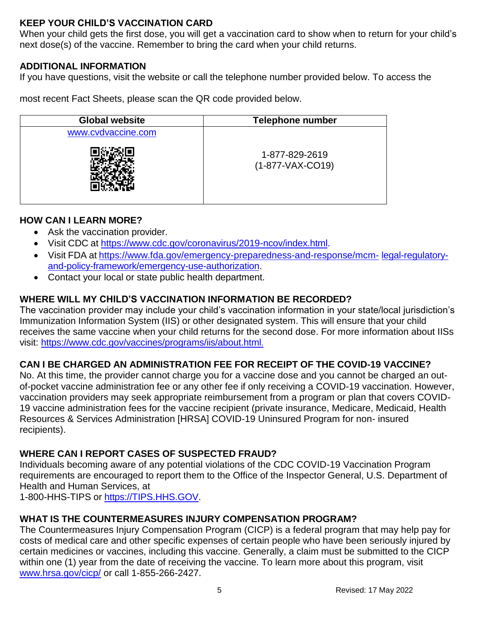## **KEEP YOUR CHILD'S VACCINATION CARD**

When your child gets the first dose, you will get a vaccination card to show when to return for your child's next dose(s) of the vaccine. Remember to bring the card when your child returns.

### **ADDITIONAL INFORMATION**

If you have questions, visit the website or call the telephone number provided below. To access the

most recent Fact Sheets, please scan the QR code provided below.

| <b>Global website</b> | <b>Telephone number</b>            |  |
|-----------------------|------------------------------------|--|
| www.cvdvaccine.com    |                                    |  |
|                       | 1-877-829-2619<br>(1-877-VAX-CO19) |  |

## **HOW CAN I LEARN MORE?**

- Ask the vaccination provider.
- Visit CDC at [https://www.cdc.gov/coronavirus/2019-ncov/index.html.](https://www.cdc.gov/coronavirus/2019-ncov/index.html)
- Visit FDA at [https://www.fda.gov/emergency-preparedness-and-response/mcm-](https://www.fda.gov/emergency-preparedness-and-response/mcm-legal-regulatory-and-policy-framework/emergency-use-authorization) [legal-regulatory](https://www.fda.gov/emergency-preparedness-and-response/mcm-legal-regulatory-and-policy-framework/emergency-use-authorization)[and-policy-framework/emergency-use-authorization.](https://www.fda.gov/emergency-preparedness-and-response/mcm-legal-regulatory-and-policy-framework/emergency-use-authorization)
- Contact your local or state public health department.

## **WHERE WILL MY CHILD'S VACCINATION INFORMATION BE RECORDED?**

The vaccination provider may include your child's vaccination information in your state/local jurisdiction's Immunization Information System (IIS) or other designated system. This will ensure that your child receives the same vaccine when your child returns for the second dose. For more information about IISs visit:<https://www.cdc.gov/vaccines/programs/iis/about.html>.

# **CAN I BE CHARGED AN ADMINISTRATION FEE FOR RECEIPT OF THE COVID-19 VACCINE?**

No. At this time, the provider cannot charge you for a vaccine dose and you cannot be charged an outof-pocket vaccine administration fee or any other fee if only receiving a COVID-19 vaccination. However, vaccination providers may seek appropriate reimbursement from a program or plan that covers COVID-19 vaccine administration fees for the vaccine recipient (private insurance, Medicare, Medicaid, Health Resources & Services Administration [HRSA] COVID-19 Uninsured Program for non- insured recipients).

### **WHERE CAN I REPORT CASES OF SUSPECTED FRAUD?**

Individuals becoming aware of any potential violations of the CDC COVID-19 Vaccination Program requirements are encouraged to report them to the Office of the Inspector General, U.S. Department of Health and Human Services, at

1-800-HHS-TIPS or [https://TIPS.HHS.GOV.](https://tips.hhs.gov/)

# **WHAT IS THE COUNTERMEASURES INJURY COMPENSATION PROGRAM?**

The Countermeasures Injury Compensation Program (CICP) is a federal program that may help pay for costs of medical care and other specific expenses of certain people who have been seriously injured by certain medicines or vaccines, including this vaccine. Generally, a claim must be submitted to the CICP within one (1) year from the date of receiving the vaccine. To learn more about this program, visit [www.hrsa.gov/cicp/](http://www.hrsa.gov/cicp/) or call 1-855-266-2427.